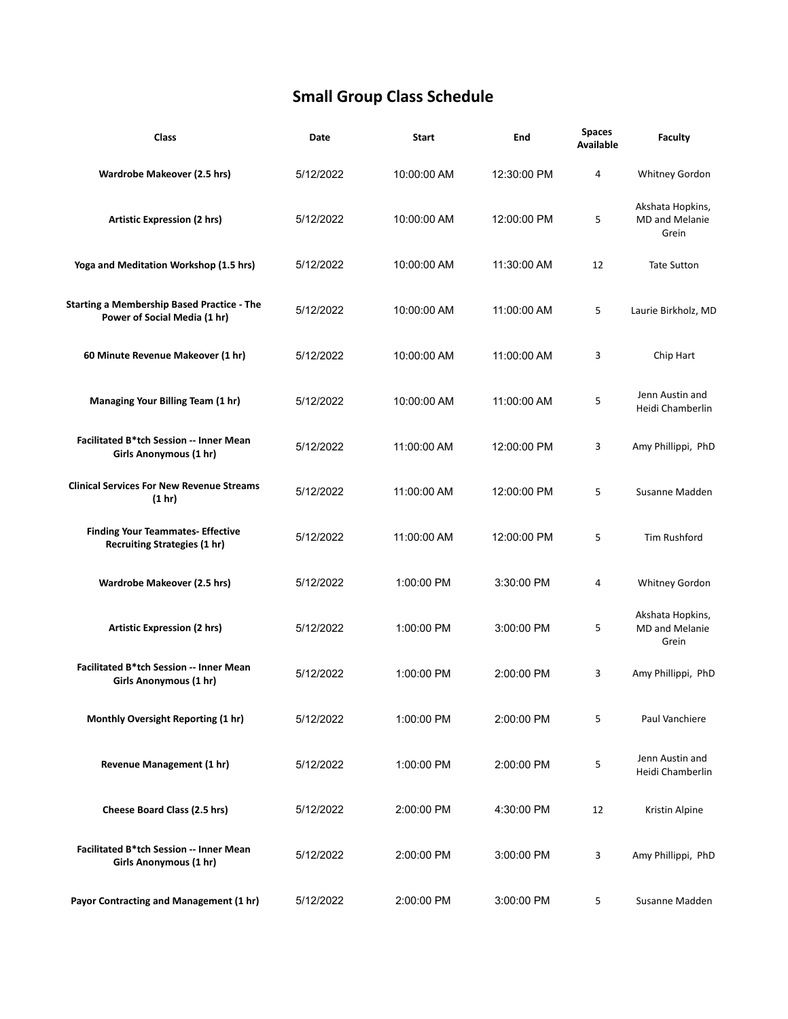## **Small Group Class Schedule**

| Class                                                                             | Date      | <b>Start</b> | End         | <b>Spaces</b><br>Available | Faculty                                            |
|-----------------------------------------------------------------------------------|-----------|--------------|-------------|----------------------------|----------------------------------------------------|
| <b>Wardrobe Makeover (2.5 hrs)</b>                                                | 5/12/2022 | 10:00:00 AM  | 12:30:00 PM | 4                          | Whitney Gordon                                     |
| <b>Artistic Expression (2 hrs)</b>                                                | 5/12/2022 | 10:00:00 AM  | 12:00:00 PM | 5                          | Akshata Hopkins,<br><b>MD and Melanie</b><br>Grein |
| Yoga and Meditation Workshop (1.5 hrs)                                            | 5/12/2022 | 10:00:00 AM  | 11:30:00 AM | 12                         | <b>Tate Sutton</b>                                 |
| <b>Starting a Membership Based Practice - The</b><br>Power of Social Media (1 hr) | 5/12/2022 | 10:00:00 AM  | 11:00:00 AM | 5                          | Laurie Birkholz, MD                                |
| 60 Minute Revenue Makeover (1 hr)                                                 | 5/12/2022 | 10:00:00 AM  | 11:00:00 AM | 3                          | Chip Hart                                          |
| Managing Your Billing Team (1 hr)                                                 | 5/12/2022 | 10:00:00 AM  | 11:00:00 AM | 5                          | Jenn Austin and<br>Heidi Chamberlin                |
| Facilitated B*tch Session -- Inner Mean<br>Girls Anonymous (1 hr)                 | 5/12/2022 | 11:00:00 AM  | 12:00:00 PM | 3                          | Amy Phillippi, PhD                                 |
| <b>Clinical Services For New Revenue Streams</b><br>(1 hr)                        | 5/12/2022 | 11:00:00 AM  | 12:00:00 PM | 5                          | Susanne Madden                                     |
| <b>Finding Your Teammates- Effective</b><br><b>Recruiting Strategies (1 hr)</b>   | 5/12/2022 | 11:00:00 AM  | 12:00:00 PM | 5                          | Tim Rushford                                       |
| <b>Wardrobe Makeover (2.5 hrs)</b>                                                | 5/12/2022 | 1:00:00 PM   | 3:30:00 PM  | 4                          | Whitney Gordon                                     |
| <b>Artistic Expression (2 hrs)</b>                                                | 5/12/2022 | 1:00:00 PM   | 3:00:00 PM  | 5                          | Akshata Hopkins,<br><b>MD</b> and Melanie<br>Grein |
| <b>Facilitated B*tch Session -- Inner Mean</b><br>Girls Anonymous (1 hr)          | 5/12/2022 | 1:00:00 PM   | 2:00:00 PM  | 3                          | Amy Phillippi, PhD                                 |
| Monthly Oversight Reporting (1 hr)                                                | 5/12/2022 | 1:00:00 PM   | 2:00:00 PM  | 5                          | Paul Vanchiere                                     |
| Revenue Management (1 hr)                                                         | 5/12/2022 | 1:00:00 PM   | 2:00:00 PM  | 5                          | Jenn Austin and<br>Heidi Chamberlin                |
| Cheese Board Class (2.5 hrs)                                                      | 5/12/2022 | 2:00:00 PM   | 4:30:00 PM  | 12                         | Kristin Alpine                                     |
| <b>Facilitated B*tch Session -- Inner Mean</b><br>Girls Anonymous (1 hr)          | 5/12/2022 | 2:00:00 PM   | 3:00:00 PM  | 3                          | Amy Phillippi, PhD                                 |
| Payor Contracting and Management (1 hr)                                           | 5/12/2022 | 2:00:00 PM   | 3:00:00 PM  | 5                          | Susanne Madden                                     |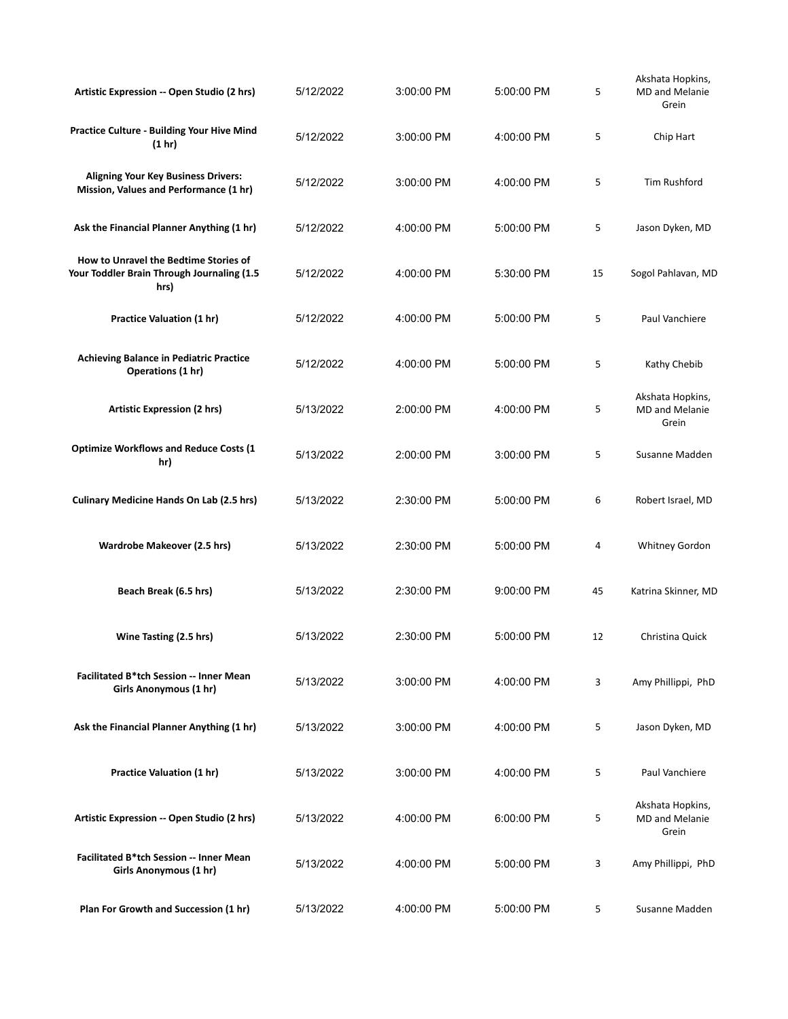| Artistic Expression -- Open Studio (2 hrs)                                                  | 5/12/2022 | 3:00:00 PM | 5:00:00 PM   | 5  | Akshata Hopkins,<br><b>MD</b> and Melanie<br>Grein |  |
|---------------------------------------------------------------------------------------------|-----------|------------|--------------|----|----------------------------------------------------|--|
| Practice Culture - Building Your Hive Mind<br>(1 hr)                                        | 5/12/2022 | 3:00:00 PM | 4:00:00 PM   | 5  | Chip Hart                                          |  |
| <b>Aligning Your Key Business Drivers:</b><br>Mission, Values and Performance (1 hr)        | 5/12/2022 | 3:00:00 PM | 4:00:00 PM   | 5  | Tim Rushford                                       |  |
| Ask the Financial Planner Anything (1 hr)                                                   | 5/12/2022 | 4:00:00 PM | 5:00:00 PM   | 5  | Jason Dyken, MD                                    |  |
| How to Unravel the Bedtime Stories of<br>Your Toddler Brain Through Journaling (1.5<br>hrs) | 5/12/2022 | 4:00:00 PM | 5:30:00 PM   | 15 | Sogol Pahlavan, MD                                 |  |
| <b>Practice Valuation (1 hr)</b>                                                            | 5/12/2022 | 4:00:00 PM | 5:00:00 PM   | 5  | Paul Vanchiere                                     |  |
| <b>Achieving Balance in Pediatric Practice</b><br>Operations (1 hr)                         | 5/12/2022 | 4:00:00 PM | 5:00:00 PM   | 5  | Kathy Chebib                                       |  |
| <b>Artistic Expression (2 hrs)</b>                                                          | 5/13/2022 | 2:00:00 PM | 4:00:00 PM   | 5  | Akshata Hopkins,<br><b>MD</b> and Melanie<br>Grein |  |
| <b>Optimize Workflows and Reduce Costs (1</b><br>hr)                                        | 5/13/2022 | 2:00:00 PM | 3:00:00 PM   | 5  | Susanne Madden                                     |  |
| <b>Culinary Medicine Hands On Lab (2.5 hrs)</b>                                             | 5/13/2022 | 2:30:00 PM | 5:00:00 PM   | 6  | Robert Israel, MD                                  |  |
| Wardrobe Makeover (2.5 hrs)                                                                 | 5/13/2022 | 2:30:00 PM | 5:00:00 PM   | 4  | Whitney Gordon                                     |  |
| Beach Break (6.5 hrs)                                                                       | 5/13/2022 | 2:30:00 PM | 9:00:00 PM   | 45 | Katrina Skinner, MD                                |  |
| Wine Tasting (2.5 hrs)                                                                      | 5/13/2022 | 2:30:00 PM | 5:00:00 PM   | 12 | Christina Quick                                    |  |
| Facilitated B*tch Session -- Inner Mean<br>Girls Anonymous (1 hr)                           | 5/13/2022 | 3:00:00 PM | 4:00:00 PM   | 3  | Amy Phillippi, PhD                                 |  |
| Ask the Financial Planner Anything (1 hr)                                                   | 5/13/2022 | 3:00:00 PM | 4:00:00 PM   | 5  | Jason Dyken, MD                                    |  |
| <b>Practice Valuation (1 hr)</b>                                                            | 5/13/2022 | 3:00:00 PM | 4:00:00 PM   | 5  | Paul Vanchiere                                     |  |
| Artistic Expression -- Open Studio (2 hrs)                                                  | 5/13/2022 | 4:00:00 PM | $6:00:00$ PM | 5  | Akshata Hopkins,<br><b>MD</b> and Melanie<br>Grein |  |
| Facilitated B*tch Session -- Inner Mean<br>Girls Anonymous (1 hr)                           | 5/13/2022 | 4:00:00 PM | 5:00:00 PM   | 3  | Amy Phillippi, PhD                                 |  |
| Plan For Growth and Succession (1 hr)                                                       | 5/13/2022 | 4:00:00 PM | 5:00:00 PM   | 5  | Susanne Madden                                     |  |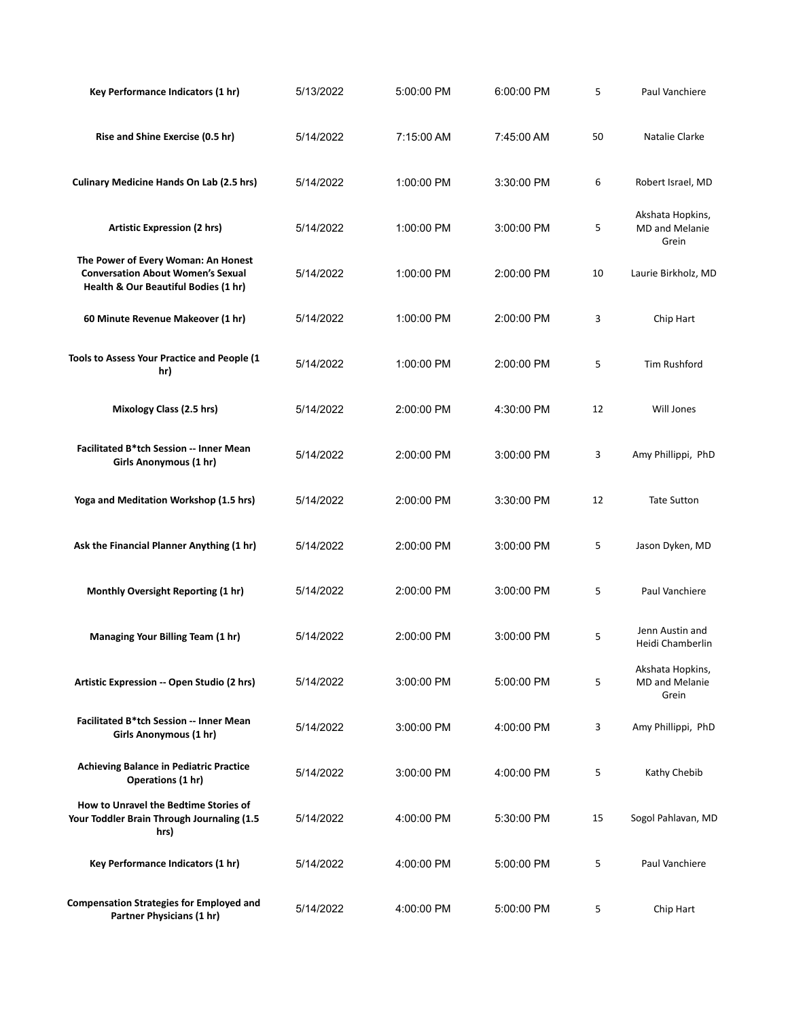| Key Performance Indicators (1 hr)                                                                                       | 5/13/2022 | 5:00:00 PM | 6:00:00 PM | 5  | Paul Vanchiere                                     |
|-------------------------------------------------------------------------------------------------------------------------|-----------|------------|------------|----|----------------------------------------------------|
| Rise and Shine Exercise (0.5 hr)                                                                                        | 5/14/2022 | 7:15:00 AM | 7:45:00 AM | 50 | Natalie Clarke                                     |
| <b>Culinary Medicine Hands On Lab (2.5 hrs)</b>                                                                         | 5/14/2022 | 1:00:00 PM | 3:30:00 PM | 6  | Robert Israel, MD                                  |
| <b>Artistic Expression (2 hrs)</b>                                                                                      | 5/14/2022 | 1:00:00 PM | 3:00:00 PM | 5  | Akshata Hopkins,<br><b>MD</b> and Melanie<br>Grein |
| The Power of Every Woman: An Honest<br><b>Conversation About Women's Sexual</b><br>Health & Our Beautiful Bodies (1 hr) | 5/14/2022 | 1:00:00 PM | 2:00:00 PM | 10 | Laurie Birkholz, MD                                |
| 60 Minute Revenue Makeover (1 hr)                                                                                       | 5/14/2022 | 1:00:00 PM | 2:00:00 PM | 3  | Chip Hart                                          |
| Tools to Assess Your Practice and People (1<br>hr)                                                                      | 5/14/2022 | 1:00:00 PM | 2:00:00 PM | 5  | Tim Rushford                                       |
| Mixology Class (2.5 hrs)                                                                                                | 5/14/2022 | 2:00:00 PM | 4:30:00 PM | 12 | Will Jones                                         |
| Facilitated B*tch Session -- Inner Mean<br>Girls Anonymous (1 hr)                                                       | 5/14/2022 | 2:00:00 PM | 3:00:00 PM | 3  | Amy Phillippi, PhD                                 |
| Yoga and Meditation Workshop (1.5 hrs)                                                                                  | 5/14/2022 | 2:00:00 PM | 3:30:00 PM | 12 | <b>Tate Sutton</b>                                 |
| Ask the Financial Planner Anything (1 hr)                                                                               | 5/14/2022 | 2:00:00 PM | 3:00:00 PM | 5  | Jason Dyken, MD                                    |
| Monthly Oversight Reporting (1 hr)                                                                                      | 5/14/2022 | 2:00:00 PM | 3:00:00 PM | 5  | Paul Vanchiere                                     |
| Managing Your Billing Team (1 hr)                                                                                       | 5/14/2022 | 2:00:00 PM | 3:00:00 PM | 5  | Jenn Austin and<br>Heidi Chamberlin                |
| Artistic Expression -- Open Studio (2 hrs)                                                                              | 5/14/2022 | 3:00:00 PM | 5:00:00 PM | 5  | Akshata Hopkins,<br>MD and Melanie<br>Grein        |
| Facilitated B*tch Session -- Inner Mean<br>Girls Anonymous (1 hr)                                                       | 5/14/2022 | 3:00:00 PM | 4:00:00 PM | 3  | Amy Phillippi, PhD                                 |
| <b>Achieving Balance in Pediatric Practice</b><br><b>Operations (1 hr)</b>                                              | 5/14/2022 | 3:00:00 PM | 4:00:00 PM | 5  | Kathy Chebib                                       |
| How to Unravel the Bedtime Stories of<br>Your Toddler Brain Through Journaling (1.5<br>hrs)                             | 5/14/2022 | 4:00:00 PM | 5:30:00 PM | 15 | Sogol Pahlavan, MD                                 |
| Key Performance Indicators (1 hr)                                                                                       | 5/14/2022 | 4:00:00 PM | 5:00:00 PM | 5  | Paul Vanchiere                                     |
| <b>Compensation Strategies for Employed and</b><br>Partner Physicians (1 hr)                                            | 5/14/2022 | 4:00:00 PM | 5:00:00 PM | 5  | Chip Hart                                          |